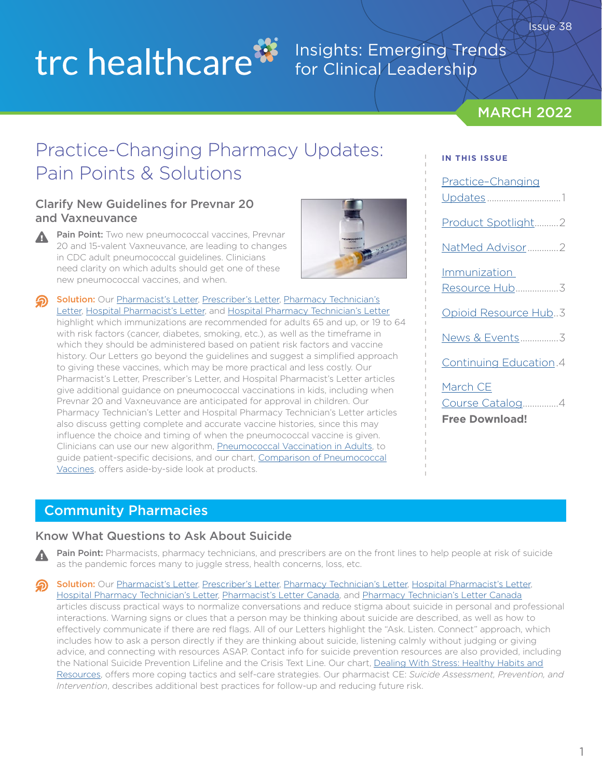# trc healthcare<sup>33</sup>

### Insights: Emerging Trends for Clinical Leadership

### **MARCH 2022**

# Practice-Changing Pharmacy Updates: Pain Points & Solutions

### Clarify New Guidelines for Prevnar 20 and Vaxneuvance

Pain Point: Two new pneumococcal vaccines, Prevnar 20 and 15-valent Vaxneuvance, are leading to changes in CDC adult pneumococcal guidelines. Clinicians need clarity on which adults should get one of these new pneumococcal vaccines, and when.



Solution: Our [Pharmacist's Letter](https://pharmacist.therapeuticresearch.com/Content/Articles/PL/2022/Mar/Clarify-New-Guidelines-for-Prevnar-20-and-Vaxneuvance?utm_campaign=march_2022_insights_newsletter&utm_medium=email&utm_source=hubspot), [Prescriber's Letter](https://prescriber.therapeuticresearch.com/Content/Articles/PRL/2022/Mar/Clarify-New-Guidelines-for-Prevnar-20-and-Vaxneuvance?utm_campaign=march_2022_insights_newsletter&utm_medium=email&utm_source=hubspot), Pharmacy Technician's [Letter,](https://pharmacytech.therapeuticresearch.com/Content/Articles/PTL/2022/Mar/Expect-More-Use-of-Prevnar-20-or-Vaxneuvance-Pneumococcal-Vaccines?utm_campaign=march_2022_insights_newsletter&utm_medium=email&utm_source=hubspot) [Hospital Pharmacist's Letter](https://hospital-pharmacist.therapeuticresearch.com/Content/Articles/PLH/2022/Mar/Clarify-New-Guidelines-for-Prevnar-20-and-Vaxneuvance?utm_campaign=march_2022_insights_newsletter&utm_medium=email&utm_source=hubspot), and [Hospital Pharmacy Technician's Letter](https://hospital-pharmacytech.therapeuticresearch.com/Content/Articles/PTLH/2022/Mar/Expect-More-Use-of-Prevnar-20-or-Vaxneuvance?utm_campaign=march_2022_insights_newsletter&utm_medium=email&utm_source=hubspot) highlight which immunizations are recommended for adults 65 and up, or 19 to 64 with risk factors (cancer, diabetes, smoking, etc.), as well as the timeframe in which they should be administered based on patient risk factors and vaccine history. Our Letters go beyond the guidelines and suggest a simplified approach to giving these vaccines, which may be more practical and less costly. Our Pharmacist's Letter, Prescriber's Letter, and Hospital Pharmacist's Letter articles give additional guidance on pneumococcal vaccinations in kids, including when Prevnar 20 and Vaxneuvance are anticipated for approval in children. Our Pharmacy Technician's Letter and Hospital Pharmacy Technician's Letter articles also discuss getting complete and accurate vaccine histories, since this may influence the choice and timing of when the pneumococcal vaccine is given. Clinicians can use our new algorithm, [Pneumococcal Vaccination in Adults,](https://pharmacist.therapeuticresearch.com/Content/Segments/PRL/2014/Nov/Pneumococcal-Vaccination-in-Adults-7743?utm_campaign=march_2022_insights_newsletter&utm_medium=email&utm_source=hubspot) to guide patient-specific decisions, and our chart, [Comparison of Pneumococcal](https://pharmacist.therapeuticresearch.com/Content/Segments/PRL/2021/Dec/Comparison-of-Pneumococcal-Vaccines-S2112001?utm_campaign=march_2022_insights_newsletter&utm_medium=email&utm_source=hubspot)  [Vaccines,](https://pharmacist.therapeuticresearch.com/Content/Segments/PRL/2021/Dec/Comparison-of-Pneumococcal-Vaccines-S2112001?utm_campaign=march_2022_insights_newsletter&utm_medium=email&utm_source=hubspot) offers aside-by-side look at products.

#### **IN THIS ISSUE**

| Practice-Changing                                    |
|------------------------------------------------------|
| Product Spotlight2                                   |
| NatMed Advisor2                                      |
| Immunization                                         |
| Opioid Resource Hub3                                 |
| News & Events3                                       |
| Continuing Education.4                               |
| March CE<br>Course Catalog4<br><b>Free Download!</b> |

### Community Pharmacies

▲

#### Know What Questions to Ask About Suicide

Pain Point: Pharmacists, pharmacy technicians, and prescribers are on the front lines to help people at risk of suicide as the pandemic forces many to juggle stress, health concerns, loss, etc.

Solution: Our [Pharmacist's Letter](https://pharmacist.therapeuticresearch.com/en/Content/Articles/PL/2022/Mar/Know-What-Questions-to-Ask-About-Suicide?utm_campaign=march_2022_insights_newsletter&utm_medium=email&utm_source=hubspot), [Prescriber's Letter](https://prescriber.therapeuticresearch.com/Content/Articles/PRL/2022/Mar/Be-Ready-to-Ask-Questions-About-Suicide?utm_campaign=march_2022_insights_newsletter&utm_medium=email&utm_source=hubspot), [Pharmacy Technician's Letter](https://pharmacytech.therapeuticresearch.com/Content/Articles/PTL/2022/Mar/Stay-Alert-for-Suicide-Warning-Signs-in-Patients-and-Colleagues?utm_campaign=march_2022_insights_newsletter&utm_medium=email&utm_source=hubspot), [Hospital Pharmacist's Letter,](https://hospital-pharmacist.therapeuticresearch.com/Content/Articles/PLH/2022/Mar/Be-Ready-to-Ask-Questions-About-Suicide?utm_campaign=march_2022_insights_newsletter&utm_medium=email&utm_source=hubspot) [Hospital Pharmacy Technician's Letter,](https://hospital-pharmacytech.therapeuticresearch.com/Content/Articles/PTLH/2022/Mar/Stay-Alert-for-Suicide-Warning-Signs?utm_campaign=march_2022_insights_newsletter&utm_medium=email&utm_source=hubspot) [Pharmacist's Letter Canada](https://ca-pharmacist.therapeuticresearch.com/Content/Articles/PLC/2022/Mar/Know-What-Questions-to-Ask-About-Suicide?utm_campaign=march_2022_insights_newsletter&utm_medium=email&utm_source=hubspot), and [Pharmacy Technician's Letter Canada](https://ca-pharmacytech.therapeuticresearch.com/Content/Articles/PTLC/2022/Mar/Stay-Alert-for-Suicide-Warning-Signs-in-Patients-and-Colleagues?utm_campaign=march_2022_insights_newsletter&utm_medium=email&utm_source=hubspot) articles discuss practical ways to normalize conversations and reduce stigma about suicide in personal and professional interactions. Warning signs or clues that a person may be thinking about suicide are described, as well as how to effectively communicate if there are red flags. All of our Letters highlight the "Ask. Listen. Connect" approach, which includes how to ask a person directly if they are thinking about suicide, listening calmly without judging or giving advice, and connecting with resources ASAP. Contact info for suicide prevention resources are also provided, including the National Suicide Prevention Lifeline and the Crisis Text Line. Our chart, [Dealing With Stress: Healthy Habits and](https://pharmacist.therapeuticresearch.com/Content/Segments/PRL/2020/May/Dealing-With-Stress-Healthy-Habits-and-Resources-S2005001?utm_campaign=march_2022_insights_newsletter&utm_medium=email&utm_source=hubspot) [Resources](https://pharmacist.therapeuticresearch.com/Content/Segments/PRL/2020/May/Dealing-With-Stress-Healthy-Habits-and-Resources-S2005001?utm_campaign=march_2022_insights_newsletter&utm_medium=email&utm_source=hubspot), offers more coping tactics and self-care strategies. Our pharmacist CE: *Suicide Assessment, Prevention, and Intervention*, describes additional best practices for follow-up and reducing future risk.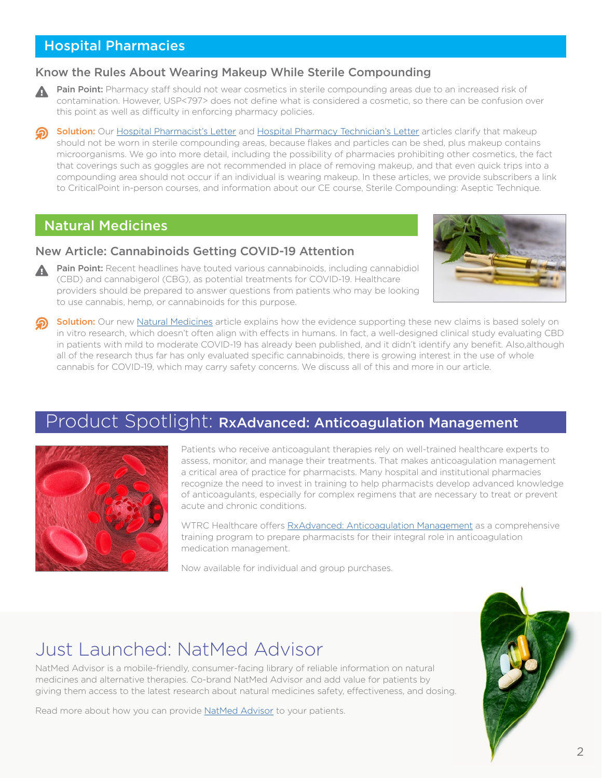### <span id="page-1-0"></span>Hospital Pharmacies

#### Know the Rules About Wearing Makeup While Sterile Compounding

- Pain Point: Pharmacy staff should not wear cosmetics in sterile compounding areas due to an increased risk of contamination. However, USP<797> does not define what is considered a cosmetic, so there can be confusion over this point as well as difficulty in enforcing pharmacy policies.
- Solution: Our [Hospital Pharmacist's Letter](https://hospital-pharmacist.therapeuticresearch.com/Content/Articles/PLH/2022/Mar/Know-the-Rules-About-Wearing-Makeup-While-Sterile-Compounding?utm_campaign=march_2022_insights_newsletter&utm_medium=email&utm_source=hubspot) and [Hospital Pharmacy Technician's Letter](https://hospital-pharmacytech.therapeuticresearch.com/Content/Articles/PTLH/2022/Mar/Know-the-Rules-About-Wearing-Makeup-While-Sterile-Compounding?utm_campaign=march_2022_insights_newsletter&utm_medium=email&utm_source=hubspot) articles clarify that makeup should not be worn in sterile compounding areas, because flakes and particles can be shed, plus makeup contains microorganisms. We go into more detail, including the possibility of pharmacies prohibiting other cosmetics, the fact that coverings such as goggles are not recommended in place of removing makeup, and that even quick trips into a compounding area should not occur if an individual is wearing makeup. In these articles, we provide subscribers a link to CriticalPoint in-person courses, and information about our CE course, Sterile Compounding: Aseptic Technique.

### Natural Medicines

#### New Article: Cannabinoids Getting COVID-19 Attention

Pain Point: Recent headlines have touted various cannabinoids, including cannabidiol (CBD) and cannabigerol (CBG), as potential treatments for COVID-19. Healthcare providers should be prepared to answer questions from patients who may be looking to use cannabis, hemp, or cannabinoids for this purpose.



Solution: Our new [Natural Medicines](https://naturalmedicines.therapeuticresearch.com/news/news-items/starnatural-medicines-and-covid-19star/cannabinoids-getting-covid-19-attention.aspx?utm_campaign=march_2022_insights_newsletter&utm_medium=email&utm_source=hubspot) article explains how the evidence supporting these new claims is based solely on in vitro research, which doesn't often align with effects in humans. In fact, a well-designed clinical study evaluating CBD in patients with mild to moderate COVID-19 has already been published, and it didn't identify any benefit. Also,although all of the research thus far has only evaluated specific cannabinoids, there is growing interest in the use of whole cannabis for COVID-19, which may carry safety concerns. We discuss all of this and more in our article.

### Product Spotlight: RxAdvanced: Anticoagulation Management



Patients who receive anticoagulant therapies rely on well-trained healthcare experts to assess, monitor, and manage their treatments. That makes anticoagulation management a critical area of practice for pharmacists. Many hospital and institutional pharmacies recognize the need to invest in training to help pharmacists develop advanced knowledge of anticoagulants, especially for complex regimens that are necessary to treat or prevent acute and chronic conditions.

WTRC Healthcare offers [RxAdvanced: Anticoagulation Management](https://trchealthcare.com/about-us/products/rxadvanced/anticoagulation-management/?utm_campaign=march_2022_insights_newsletter&utm_medium=email&utm_source=hubspot) as a comprehensive training program to prepare pharmacists for their integral role in anticoagulation medication management.

Now available for individual and group purchases.

# Just Launched: NatMed Advisor

NatMed Advisor is a mobile-friendly, consumer-facing library of reliable information on natural medicines and alternative therapies. Co-brand NatMed Advisor and add value for patients by giving them access to the latest research about natural medicines safety, effectiveness, and dosing.

Read more about how you can provide [NatMed Advisor](https://trchealthcare.com/about-us/products/natural-medicines/natmed-advisor/?utm_campaign=march_2022_insights_newsletter&utm_medium=email&utm_source=hubspot) to your patients.

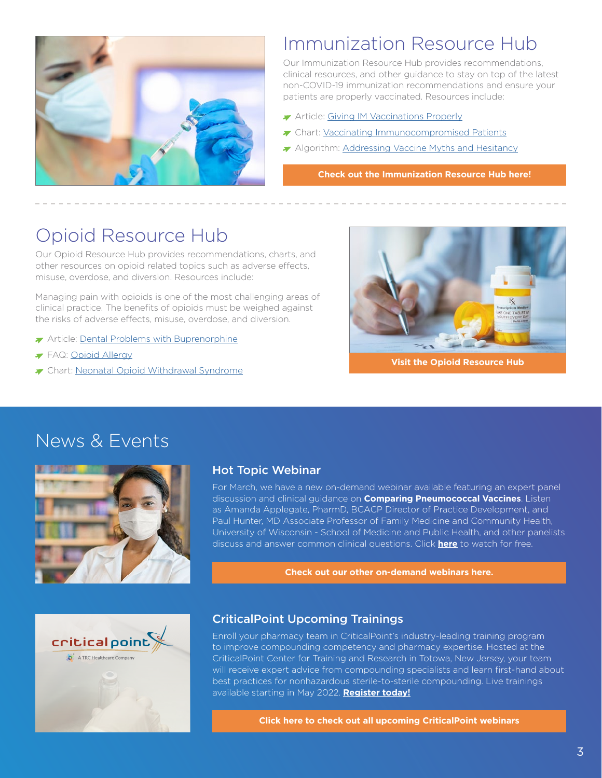<span id="page-2-0"></span>

# Immunization Resource Hub

Our Immunization Resource Hub provides recommendations, clinical resources, and other guidance to stay on top of the latest non-COVID-19 immunization recommendations and ensure your patients are properly vaccinated. Resources include:

- **Article: [Giving IM Vaccinations Properly](https://pharmacist.therapeuticresearch.com/Content/Articles/PL/2021/Mar/Reduce-Risk-of-Injury-and-Manage-Pain-From-IM-Vaccinations?utm_campaign=march_2022_insights_newsletter&utm_medium=email&utm_source=hubspot)**
- Chart: [Vaccinating Immunocompromised Patients](https://pharmacist.therapeuticresearch.com/Content/Segments/PRL/2014/Feb/Vaccinating-Immunocompromised-Patients-6608?utm_campaign=march_2022_insights_newsletter&utm_medium=email&utm_source=hubspot)
- Algorithm: [Addressing Vaccine Myths and Hesitancy](https://pharmacist.therapeuticresearch.com/Content/Segments/PRL/2017/Aug/Vaccine-Adherence-Addressing-Myths-and-Hesitancy-11391?utm_campaign=march_2022_insights_newsletter&utm_medium=email&utm_source=hubspot)

**[Check out the Immunization Resource Hub here!](https://pharmacist.therapeuticresearch.com/Content/Resource-Hub/All/Immunization-Resource-Hub?utm_campaign=march_2022_insights_newsletter&utm_medium=email&utm_source=hubspot)**

# Opioid Resource Hub

Our Opioid Resource Hub provides recommendations, charts, and other resources on opioid related topics such as adverse effects, misuse, overdose, and diversion. Resources include:

Managing pain with opioids is one of the most challenging areas of clinical practice. The benefits of opioids must be weighed against the risks of adverse effects, misuse, overdose, and diversion.

- Article: [Dental Problems with Buprenorphine](https://pharmacist.therapeuticresearch.com/Content/Articles/PL/2022/Mar/Reinforce-Oral-Care-With-Buccal-or-Sublingual-Buprenorphine?utm_campaign=march_2022_insights_newsletter&utm_medium=email&utm_source=hubspot)
- FAQ: [Opioid Allergy](https://pharmacist.therapeuticresearch.com/Content/Segments/PRL/2006/Feb/Opioid-Allergy-2107?utm_campaign=march_2022_insights_newsletter&utm_medium=email&utm_source=hubspot)
- ▼ Chart: [Neonatal Opioid Withdrawal Syndrome](https://pharmacist.therapeuticresearch.com/Content/Segments/PRL/2017/May/Neonatal-Opioid-Withdrawal-Syndrome-11075?utm_campaign=march_2022_insights_newsletter&utm_medium=email&utm_source=hubspot)



**[Visit the Opioid Resource Hub](https://pharmacist.therapeuticresearch.com/Content/Resource-Hub/All/Opioid-Resource-Hub?utm_campaign=march_2022_insights_newsletter&utm_medium=email&utm_source=hubspot)**

## News & Events





#### Hot Topic Webinar

For March, we have a new on-demand webinar available featuring an expert panel discussion and clinical guidance on **Comparing Pneumococcal Vaccines**. Listen as Amanda Applegate, PharmD, BCACP Director of Practice Development, and Paul Hunter, MD Associate Professor of Family Medicine and Community Health, University of Wisconsin - School of Medicine and Public Health, and other panelists discuss and answer common clinical questions. Click **[here](https://trchealthcare.com/comparing-new-pneumococcal-vaccines/?utm_campaign=march_2022_insights_newsletter&utm_medium=email&utm_source=hubspot)** to watch for free.

**[Check out our other on-demand webinars here.](https://trchealthcare.com/about-us/news-and-resources/webinars/?utm_campaign=february_2022_insights_newsletter&utm_medium=email&utm_source=hubspot)**

#### CriticalPoint Upcoming Trainings

Enroll your pharmacy team in CriticalPoint's industry-leading training program to improve compounding competency and pharmacy expertise. Hosted at the CriticalPoint Center for Training and Research in Totowa, New Jersey, your team will receive expert advice from compounding specialists and learn first-hand about best practices for nonhazardous sterile-to-sterile compounding. Live trainings available starting in May 2022. **[Register today!](https://www.criticalpoint.info/activity/best-practices-for-nonhazardous-sterile-to-sterile-compounding-may-16-18-2022/?utm_campaign=march_2022_insights_newsletter&utm_medium=email&utm_source=hubspot)**

**[Click here to check out all upcoming CriticalPoint webinars](https://www.criticalpoint.info/activities/?utm_campaign=march_2022_insights_newsletter&utm_medium=email&utm_source=hubspot)**